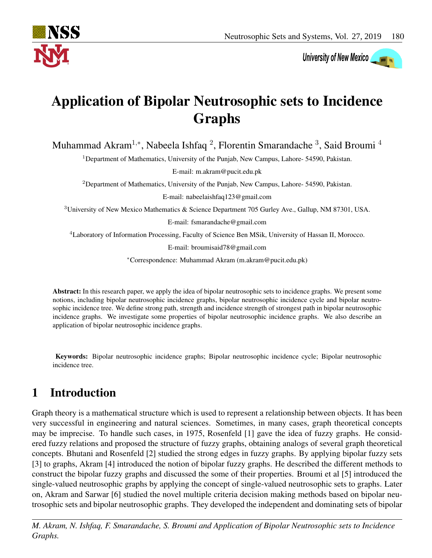

University of New Mexico

# Application of Bipolar Neutrosophic sets to Incidence Graphs

Muhammad Akram<sup>1,∗</sup>, Nabeela Ishfaq <sup>2</sup>, Florentin Smarandache <sup>3</sup>, Said Broumi <sup>4</sup>

<sup>1</sup>Department of Mathematics, University of the Punjab, New Campus, Lahore- 54590, Pakistan.

E-mail: m.akram@pucit.edu.pk

<sup>2</sup>Department of Mathematics, University of the Punjab, New Campus, Lahore- 54590, Pakistan.

E-mail: nabeelaishfaq123@gmail.com

<sup>3</sup>University of New Mexico Mathematics & Science Department 705 Gurley Ave., Gallup, NM 87301, USA.

E-mail: fsmarandache@gmail.com

<sup>4</sup>Laboratory of Information Processing, Faculty of Science Ben MSik, University of Hassan II, Morocco.

E-mail: broumisaid78@gmail.com

<sup>∗</sup>Correspondence: Muhammad Akram (m.akram@pucit.edu.pk)

Abstract: In this research paper, we apply the idea of bipolar neutrosophic sets to incidence graphs. We present some notions, including bipolar neutrosophic incidence graphs, bipolar neutrosophic incidence cycle and bipolar neutrosophic incidence tree. We define strong path, strength and incidence strength of strongest path in bipolar neutrosophic incidence graphs. We investigate some properties of bipolar neutrosophic incidence graphs. We also describe an application of bipolar neutrosophic incidence graphs.

Keywords: Bipolar neutrosophic incidence graphs; Bipolar neutrosophic incidence cycle; Bipolar neutrosophic incidence tree.

# 1 Introduction

Graph theory is a mathematical structure which is used to represent a relationship between objects. It has been very successful in engineering and natural sciences. Sometimes, in many cases, graph theoretical concepts may be imprecise. To handle such cases, in 1975, Rosenfeld [1] gave the idea of fuzzy graphs. He considered fuzzy relations and proposed the structure of fuzzy graphs, obtaining analogs of several graph theoretical concepts. Bhutani and Rosenfeld [2] studied the strong edges in fuzzy graphs. By applying bipolar fuzzy sets [3] to graphs, Akram [4] introduced the notion of bipolar fuzzy graphs. He described the different methods to construct the bipolar fuzzy graphs and discussed the some of their properties. Broumi et al [5] introduced the single-valued neutrosophic graphs by applying the concept of single-valued neutrosophic sets to graphs. Later on, Akram and Sarwar [6] studied the novel multiple criteria decision making methods based on bipolar neutrosophic sets and bipolar neutrosophic graphs. They developed the independent and dominating sets of bipolar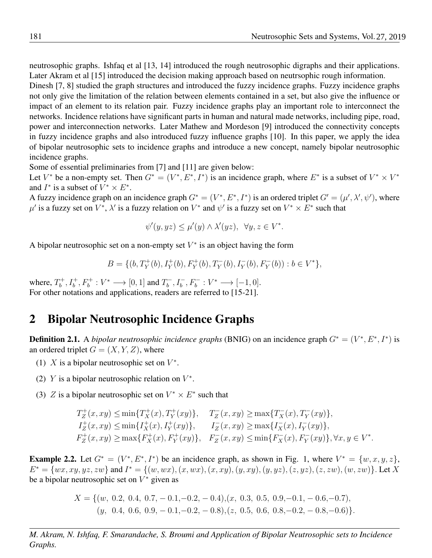.

neutrosophic graphs. Ishfaq et al [13, 14] introduced the rough neutrosophic digraphs and their applications. Later Akram et al [15] introduced the decision making approach based on neutrsophic rough information.

Dinesh [7, 8] studied the graph structures and introduced the fuzzy incidence graphs. Fuzzy incidence graphs not only give the limitation of the relation between elements contained in a set, but also give the influence or impact of an element to its relation pair. Fuzzy incidence graphs play an important role to interconnect the networks. Incidence relations have significant parts in human and natural made networks, including pipe, road, power and interconnection networks. Later Mathew and Mordeson [9] introduced the connectivity concepts in fuzzy incidence graphs and also introduced fuzzy influence graphs [10]. In this paper, we apply the idea of bipolar neutrosophic sets to incidence graphs and introduce a new concept, namely bipolar neutrosophic incidence graphs.

Some of essential preliminaries from [7] and [11] are given below:

Let  $V^*$  be a non-empty set. Then  $G^* = (V^*, E^*, I^*)$  is an incidence graph, where  $E^*$  is a subset of  $V^* \times V^*$ and  $I^*$  is a subset of  $V^* \times E^*$ .

A fuzzy incidence graph on an incidence graph  $G^* = (V^*, E^*, I^*)$  is an ordered triplet  $G' = (\mu', \lambda', \psi')$ , where  $\mu'$  is a fuzzy set on  $V^*$ ,  $\lambda'$  is a fuzzy relation on  $V^*$  and  $\psi'$  is a fuzzy set on  $V^*\times E^*$  such that

$$
\psi'(y, yz) \le \mu'(y) \wedge \lambda'(yz), \ \ \forall y, z \in V^*.
$$

A bipolar neutrosophic set on a non-empty set  $V^*$  is an object having the form

$$
B = \{ (b, T_Y^+(b), I_Y^+(b), F_Y^+(b), T_Y^-(b), I_Y^-(b), F_Y^-(b)) : b \in V^* \},
$$

where,  $T_h^+$  $b^+, I_b^+, F_b^+ : V^* \longrightarrow [0, 1]$  and  $T_b^-, I_b^-, F_b^- : V^* \longrightarrow [-1, 0].$ For other notations and applications, readers are referred to [15-21].

### 2 Bipolar Neutrosophic Incidence Graphs

**Definition 2.1.** A *bipolar neutrosophic incidence graphs* (BNIG) on an incidence graph  $G^* = (V^*, E^*, I^*)$  is an ordered triplet  $G = (X, Y, Z)$ , where

- (1) X is a bipolar neutrosophic set on  $V^*$ .
- (2) Y is a bipolar neutrosophic relation on  $V^*$ .
- (3) Z is a bipolar neutrosophic set on  $V^* \times E^*$  such that

$$
T_Z^+(x, xy) \le \min\{T_X^+(x), T_Y^+(xy)\}, \quad T_Z^-(x, xy) \ge \max\{T_X^-(x), T_Y^-(xy)\},
$$
  
\n
$$
I_Z^+(x, xy) \le \min\{I_X^+(x), I_Y^+(xy)\}, \quad I_Z^-(x, xy) \ge \max\{I_X^-(x), I_Y^-(xy)\},
$$
  
\n
$$
F_Z^+(x, xy) \ge \max\{F_X^+(x), F_Y^+(xy)\}, \quad F_Z^-(x, xy) \le \min\{F_X^-(x), F_Y^-(xy)\}, \forall x, y \in V^*
$$

**Example 2.2.** Let  $G^* = (V^*, E^*, I^*)$  be an incidence graph, as shown in Fig. 1, where  $V^* = \{w, x, y, z\}$ ,  $E^* = \{wx, xy, yz, zw\}$  and  $I^* = \{(w, wx), (x, wx), (x, xy), (y, xy), (y, yz), (z, yz), (z, zw), (w, zw)\}.$  Let X be a bipolar neutrosophic set on  $V^*$  given as

$$
X = \{ (w, 0.2, 0.4, 0.7, -0.1, -0.2, -0.4), (x, 0.3, 0.5, 0.9, -0.1, -0.6, -0.7),
$$
  
(y, 0.4, 0.6, 0.9, -0.1, -0.2, -0.8), (z, 0.5, 0.6, 0.8, -0.2, -0.8, -0.6) \}.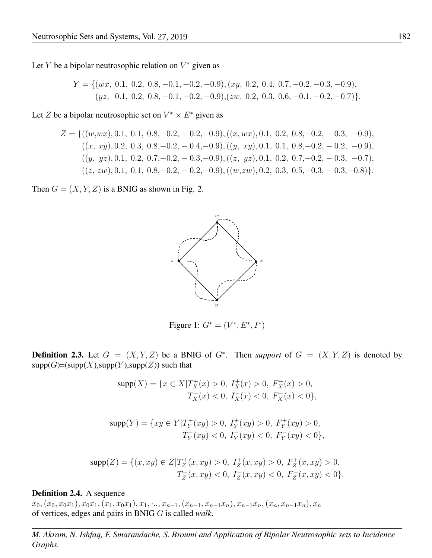Let Y be a bipolar neutrosophic relation on  $V^*$  given as

$$
Y = \{ (wx, 0.1, 0.2, 0.8, -0.1, -0.2, -0.9), (xy, 0.2, 0.4, 0.7, -0.2, -0.3, -0.9), (yz, 0.1, 0.2, 0.8, -0.1, -0.2, -0.9), (zw, 0.2, 0.3, 0.6, -0.1, -0.2, -0.7) \}.
$$

Let Z be a bipolar neutrosophic set on  $V^* \times E^*$  given as

$$
Z = \{((w, wx), 0.1, 0.1, 0.8, -0.2, -0.2, -0.9), ((x, wx), 0.1, 0.2, 0.8, -0.2, -0.3, -0.9), ((x, xy), 0.2, 0.3, 0.8, -0.2, -0.4, -0.9), ((y, xy), 0.1, 0.1, 0.8, -0.2, -0.2, -0.9), ((y, yz), 0.1, 0.2, 0.7, -0.2, -0.3, -0.9), ((z, yz), 0.1, 0.2, 0.7, -0.2, -0.3, -0.7), ((z, zw), 0.1, 0.1, 0.8, -0.2, -0.2, -0.9), ((w, zw), 0.2, 0.3, 0.5, -0.3, -0.3, -0.8)\}.
$$

Then  $G = (X, Y, Z)$  is a BNIG as shown in Fig. 2.



Figure 1:  $G^* = (V^*, E^*, I^*)$ 

**Definition 2.3.** Let  $G = (X, Y, Z)$  be a BNIG of  $G^*$ . Then *support* of  $G = (X, Y, Z)$  is denoted by  $supp(G) = (supp(X), supp(Y), supp(Z))$  such that

$$
supp(X) = \{x \in X | T_X^+(x) > 0, \ I_X^+(x) > 0, \ F_X^+(x) > 0, T_X^-(x) < 0, \ I_X^-(x) < 0, \ F_X^-(x) < 0 \},
$$

$$
supp(Y) = \{ xy \in Y | T_Y^+(xy) > 0, I_Y^+(xy) > 0, F_Y^+(xy) > 0,
$$
  

$$
T_Y^-(xy) < 0, I_Y^-(xy) < 0, F_Y^-(xy) < 0 \},
$$

$$
\text{supp}(Z) = \{ (x, xy) \in Z | T_Z^+(x, xy) > 0, \ I_Z^+(x, xy) > 0, \ F_Z^+(x, xy) > 0, T_Z^-(x, xy) < 0, \ I_Z^-(x, xy) < 0, \ F_Z^-(x, xy) < 0 \}.
$$

#### Definition 2.4. A sequence

 $x_0, (x_0, x_0, x_1), x_0, x_1, (x_1, x_0, x_1), x_1, \ldots, x_{n-1}, (x_{n-1}, x_{n-1}, x_n), x_{n-1}, x_n, (x_n, x_{n-1}, x_n), x_n$ of vertices, edges and pairs in BNIG G is called *walk*.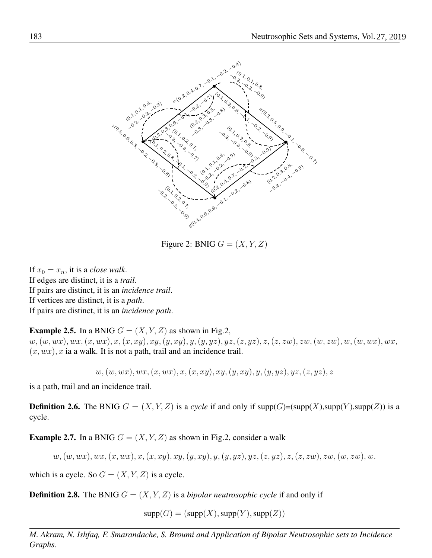

Figure 2: BNIG  $G = (X, Y, Z)$ 

If  $x_0 = x_n$ , it is a *close walk*. If edges are distinct, it is a *trail*. If pairs are distinct, it is an *incidence trail*. If vertices are distinct, it is a *path*. If pairs are distinct, it is an *incidence path*.

#### **Example 2.5.** In a BNIG  $G = (X, Y, Z)$  as shown in Fig.2,

 $w,(w,wx),wx,(x,wx),x,(x,xy),xy,(y,xy),y,(y, yz),yz,(z, yz),z,(z, zw), zw,(w, zw),w,(w, wx),wx,$  $(x, wx)$ , x ia a walk. It is not a path, trail and an incidence trail.

 $w,(w,wx),wx,(x,wx),x,(x,xy),xy,(y,xy),y,(y,yz),yz,(z,yz),z$ 

is a path, trail and an incidence trail.

**Definition 2.6.** The BNIG  $G = (X, Y, Z)$  is a *cycle* if and only if  $\text{supp}(G) = (\text{supp}(X), \text{supp}(Y), \text{supp}(Z))$  is a cycle.

**Example 2.7.** In a BNIG  $G = (X, Y, Z)$  as shown in Fig.2, consider a walk

$$
w,(w,wx),wx,(x,wx),x,(x,xy),xy,(y,xy),y,(y,yz),yz,(z,yz),z,(z,zw),zw,(w,zw),w.\nonumber
$$

which is a cycle. So  $G = (X, Y, Z)$  is a cycle.

**Definition 2.8.** The BNIG  $G = (X, Y, Z)$  is a *bipolar neutrosophic cycle* if and only if

 $supp(G) = (supp(X), supp(Y), supp(Z))$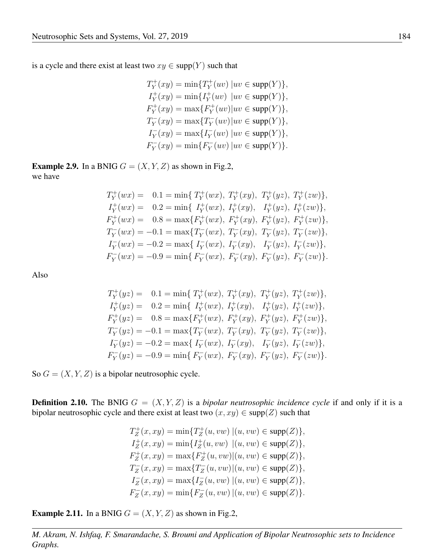is a cycle and there exist at least two  $xy \in \text{supp}(Y)$  such that

$$
T_Y^+(xy) = \min\{T_Y^+(uv) \mid uv \in \text{supp}(Y)\},
$$
  
\n
$$
I_Y^+(xy) = \min\{I_Y^+(uv) \mid uv \in \text{supp}(Y)\},
$$
  
\n
$$
F_Y^+(xy) = \max\{F_Y^+(uv) \mid uv \in \text{supp}(Y)\},
$$
  
\n
$$
T_Y^-(xy) = \max\{T_Y^-(uv) \mid uv \in \text{supp}(Y)\},
$$
  
\n
$$
I_Y^-(xy) = \max\{I_Y^-(uv) \mid uv \in \text{supp}(Y)\},
$$
  
\n
$$
F_Y^-(xy) = \min\{F_Y^-(uv) \mid uv \in \text{supp}(Y)\}.
$$

**Example 2.9.** In a BNIG  $G = (X, Y, Z)$  as shown in Fig.2, we have

$$
T_Y^+(wx) = 0.1 = \min\{T_Y^+(wx), T_Y^+(xy), T_Y^+(yz), T_Y^+(zw)\},
$$
  
\n
$$
I_Y^+(wx) = 0.2 = \min\{I_Y^+(wx), I_Y^+(xy), I_Y^+(yz), I_Y^+(zw)\},
$$
  
\n
$$
F_Y^+(wx) = 0.8 = \max\{F_Y^+(wx), F_Y^+(xy), F_Y^+(yz), F_Y^+(zw)\},
$$
  
\n
$$
T_Y^-(wx) = -0.1 = \max\{T_Y^-(wx), T_Y^-(xy), T_Y^-(yz), T_Y^-(zw)\},
$$
  
\n
$$
I_Y^-(wx) = -0.2 = \max\{I_Y^-(wx), I_Y^-(xy), I_Y^-(yz), I_Y^-(zw)\},
$$
  
\n
$$
F_Y^-(wx) = -0.9 = \min\{F_Y^-(wx), F_Y^-(xy), F_Y^-(yz), F_Y^-(zw)\}.
$$

Also

$$
T_Y^+(yz) = 0.1 = \min\{T_Y^+(wx), T_Y^+(xy), T_Y^+(yz), T_Y^+(zw)\},
$$
  
\n
$$
I_Y^+(yz) = 0.2 = \min\{I_Y^+(wx), I_Y^+(xy), I_Y^+(yz), I_Y^+(zw)\},
$$
  
\n
$$
F_Y^+(yz) = 0.8 = \max\{F_Y^+(wx), F_Y^+(xy), F_Y^+(yz), F_Y^+(zw)\},
$$
  
\n
$$
T_Y^-(yz) = -0.1 = \max\{T_Y^-(wx), T_Y^-(xy), T_Y^-(yz), T_Y^-(zw)\},
$$
  
\n
$$
I_Y^-(yz) = -0.2 = \max\{I_Y^-(wx), I_Y^-(xy), I_Y^-(yz), I_Y^-(zw)\},
$$
  
\n
$$
F_Y^-(yz) = -0.9 = \min\{F_Y^-(wx), F_Y^-(xy), F_Y^-(yz), F_Y^-(zw)\}.
$$

So  $G = (X, Y, Z)$  is a bipolar neutrosophic cycle.

**Definition 2.10.** The BNIG  $G = (X, Y, Z)$  is a *bipolar neutrosophic incidence cycle* if and only if it is a bipolar neutrosophic cycle and there exist at least two  $(x, xy) \in \text{supp}(Z)$  such that

$$
T_Z^+(x, xy) = \min\{T_Z^+(u, vw) \mid (u, vw) \in \text{supp}(Z)\},
$$
  
\n
$$
I_Z^+(x, xy) = \min\{I_Z^+(u, vw) \mid (u, vw) \in \text{supp}(Z)\},
$$
  
\n
$$
F_Z^+(x, xy) = \max\{F_Z^+(u, vw) | (u, vw) \in \text{supp}(Z)\},
$$
  
\n
$$
T_Z^-(x, xy) = \max\{T_Z^-(u, vw) | (u, vw) \in \text{supp}(Z)\},
$$
  
\n
$$
I_Z^-(x, xy) = \max\{I_Z^-(u, vw) | (u, vw) \in \text{supp}(Z)\},
$$
  
\n
$$
F_Z^-(x, xy) = \min\{F_Z^-(u, vw) | (u, vw) \in \text{supp}(Z)\}.
$$

**Example 2.11.** In a BNIG  $G = (X, Y, Z)$  as shown in Fig.2,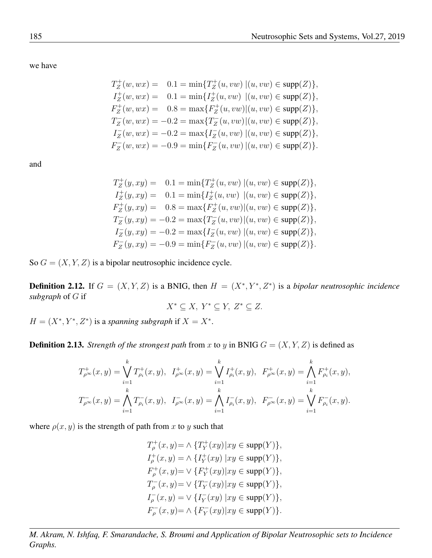we have

$$
T_Z^+(w, wx) = 0.1 = \min\{T_Z^+(u, vw) \mid (u, vw) \in \text{supp}(Z)\},
$$
  
\n
$$
I_Z^+(w, wx) = 0.1 = \min\{I_Z^+(u, vw) \mid (u, vw) \in \text{supp}(Z)\},
$$
  
\n
$$
F_Z^+(w, wx) = 0.8 = \max\{F_Z^+(u, vw) \mid (u, vw) \in \text{supp}(Z)\},
$$
  
\n
$$
T_Z^-(w, wx) = -0.2 = \max\{T_Z^-(u, vw) \mid (u, vw) \in \text{supp}(Z)\},
$$
  
\n
$$
I_Z^-(w, wx) = -0.2 = \max\{I_Z^-(u, vw) \mid (u, vw) \in \text{supp}(Z)\},
$$
  
\n
$$
F_Z^-(w, wx) = -0.9 = \min\{F_Z^-(u, vw) \mid (u, vw) \in \text{supp}(Z)\}.
$$

and

$$
T_Z^+(y, xy) = 0.1 = \min\{T_Z^+(u, vw) \mid (u, vw) \in \text{supp}(Z)\},
$$
  
\n
$$
I_Z^+(y, xy) = 0.1 = \min\{I_Z^+(u, vw) \mid (u, vw) \in \text{supp}(Z)\},
$$
  
\n
$$
F_Z^+(y, xy) = 0.8 = \max\{F_Z^+(u, vw) \mid (u, vw) \in \text{supp}(Z)\},
$$
  
\n
$$
T_Z^-(y, xy) = -0.2 = \max\{T_Z^-(u, vw) \mid (u, vw) \in \text{supp}(Z)\},
$$
  
\n
$$
I_Z^-(y, xy) = -0.2 = \max\{I_Z^-(u, vw) \mid (u, vw) \in \text{supp}(Z)\},
$$
  
\n
$$
F_Z^-(y, xy) = -0.9 = \min\{F_Z^-(u, vw) \mid (u, vw) \in \text{supp}(Z)\}.
$$

So  $G = (X, Y, Z)$  is a bipolar neutrosophic incidence cycle.

**Definition 2.12.** If  $G = (X, Y, Z)$  is a BNIG, then  $H = (X^*, Y^*, Z^*)$  is a *bipolar neutrosophic incidence subgraph* of G if

$$
X^* \subseteq X, Y^* \subseteq Y, Z^* \subseteq Z.
$$

 $H = (X^*, Y^*, Z^*)$  is a *spanning subgraph* if  $X = X^*$ .

**Definition 2.13.** *Strength of the strongest path* from x to y in BNIG  $G = (X, Y, Z)$  is defined as

$$
T_{\rho^{\infty}}^+(x,y) = \bigvee_{i=1}^k T_{\rho_i}^+(x,y), \quad I_{\rho^{\infty}}^+(x,y) = \bigvee_{i=1}^k I_{\rho_i}^+(x,y), \quad F_{\rho^{\infty}}^+(x,y) = \bigwedge_{i=1}^k F_{\rho_i}^+(x,y),
$$
  

$$
T_{\rho^{\infty}}^-(x,y) = \bigwedge_{i=1}^k T_{\rho_i}^-(x,y), \quad I_{\rho^{\infty}}^-(x,y) = \bigwedge_{i=1}^k I_{\rho_i}^-(x,y), \quad F_{\rho^{\infty}}^-(x,y) = \bigvee_{i=1}^k F_{\rho_i}^-(x,y).
$$

where  $\rho(x, y)$  is the strength of path from x to y such that

 $T_{\rho}^{+}(x, y) = \wedge \{T_{Y}^{+}$  $Y^+(xy)|xy \in \text{supp}(Y)\},$  $I_{\rho}^{+}(x, y) = \wedge \{I_{Y}^{+}% (\rho_{X}^{+}(x, y))\}$  $Y^+(xy)$   $|xy \in \text{supp}(Y)$ ,  $F_{\rho}^{+}(x, y) = \vee \{F_{Y}^{+}$  $Y<sup>+</sup><sub>Y</sub>(xy)|xy \in supp(Y)$ },  $T_{\rho}^{-}(x, y) = \vee \{T_{Y}^{-}(xy) | xy \in \text{supp}(Y)\},$  $I_{\rho}^{-}(x, y) = \vee \{ I_{Y}^{-}(xy) \mid xy \in \text{supp}(Y) \},$  $F_{\rho}^{-}(x, y) = \wedge \{ F_{Y}^{-}(xy) | xy \in \text{supp}(Y) \}.$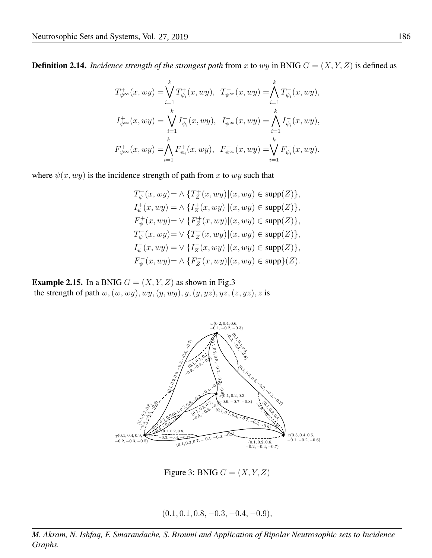**Definition 2.14.** *Incidence strength of the strongest path* from x to wy in BNIG  $G = (X, Y, Z)$  is defined as

$$
T_{\psi^{\infty}}^{+}(x, wy) = \bigvee_{i=1}^{k} T_{\psi_{i}}^{+}(x, wy), \quad T_{\psi^{\infty}}^{-}(x, wy) = \bigwedge_{i=1}^{k} T_{\psi_{i}}^{-}(x, wy),
$$
  
\n
$$
I_{\psi^{\infty}}^{+}(x, wy) = \bigvee_{i=1}^{k} I_{\psi_{i}}^{+}(x, wy), \quad I_{\psi^{\infty}}^{-}(x, wy) = \bigwedge_{i=1}^{k} I_{\psi_{i}}^{-}(x, wy),
$$
  
\n
$$
F_{\psi^{\infty}}^{+}(x, wy) = \bigwedge_{i=1}^{k} F_{\psi_{i}}^{+}(x, wy), \quad F_{\psi^{\infty}}^{-}(x, wy) = \bigvee_{i=1}^{k} F_{\psi_{i}}^{-}(x, wy).
$$

where  $\psi(x, wy)$  is the incidence strength of path from x to wy such that

$$
T_{\psi}^{+}(x, wy) = \wedge \{T_{Z}^{+}(x, wy)|(x, wy) \in \text{supp}(Z)\},
$$
  
\n
$$
I_{\psi}^{+}(x, wy) = \wedge \{I_{Z}^{+}(x, wy)|(x, wy) \in \text{supp}(Z)\},
$$
  
\n
$$
F_{\psi}^{+}(x, wy) = \vee \{F_{Z}^{+}(x, wy)|(x, wy) \in \text{supp}(Z)\},
$$
  
\n
$$
T_{\psi}^{-}(x, wy) = \vee \{T_{Z}^{-}(x, wy)|(x, wy) \in \text{supp}(Z)\},
$$
  
\n
$$
I_{\psi}^{-}(x, wy) = \vee \{I_{Z}^{-}(x, wy)|(x, wy) \in \text{supp}(Z)\},
$$
  
\n
$$
F_{\psi}^{-}(x, wy) = \wedge \{F_{Z}^{-}(x, wy)|(x, wy) \in \text{supp}\}(Z).
$$

**Example 2.15.** In a BNIG  $G = (X, Y, Z)$  as shown in Fig.3 the strength of path  $w,(w,wy), wy,(y,wy), y,(y, yz), yz,(z, yz), z$  is



Figure 3: BNIG  $G = (X, Y, Z)$ 

 $(0.1, 0.1, 0.8, -0.3, -0.4, -0.9),$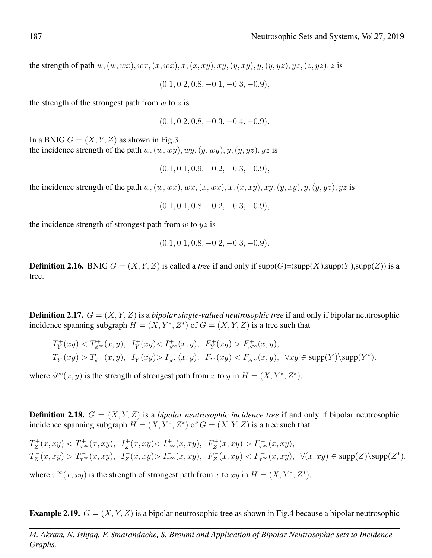the strength of path  $w,(w,wx),wx,(x,wx),x,(x,xy),xy,(y,xy),y,(y,yz),yz,(z,yz),z$  is

 $(0.1, 0.2, 0.8, -0.1, -0.3, -0.9),$ 

the strength of the strongest path from  $w$  to  $z$  is

$$
(0.1, 0.2, 0.8, -0.3, -0.4, -0.9).
$$

In a BNIG  $G = (X, Y, Z)$  as shown in Fig.3

the incidence strength of the path  $w,(w,wy), wy,(y,wy), y,(y, yz), yz$  is

$$
(0.1, 0.1, 0.9, -0.2, -0.3, -0.9),
$$

the incidence strength of the path  $w,(w,wx),wx,(x,wx),x,(x,xy),xy,(y,xy),y,(y,yz),yz$  is

$$
(0.1, 0.1, 0.8, -0.2, -0.3, -0.9),
$$

the incidence strength of strongest path from  $w$  to  $yz$  is

$$
(0.1, 0.1, 0.8, -0.2, -0.3, -0.9).
$$

**Definition 2.16.** BNIG  $G = (X, Y, Z)$  is called a *tree* if and only if supp(G)=(supp(X),supp(Y),supp(Z)) is a tree.

**Definition 2.17.**  $G = (X, Y, Z)$  is a *bipolar single-valued neutrosophic tree* if and only if bipolar neutrosophic incidence spanning subgraph  $H = (X, Y^*, Z^*)$  of  $G = (X, Y, Z)$  is a tree such that

$$
\begin{array}{l} T_Y^+(xy) < T_{\phi^\infty}^+(x,y), \;\; I_Y^+(xy) < I_{\phi^\infty}^+(x,y), \;\; F_Y^+(xy) > F_{\phi^\infty}^+(x,y), \\[2mm] T_Y^-(xy) > T_{\phi^\infty}^-(x,y), \;\; I_Y^-(xy) > I_{\phi^\infty}^-(x,y), \;\; F_Y^-(xy) < F_{\phi^\infty}^-(x,y), \;\; \forall xy \in \text{supp}(Y) \backslash \text{supp}(Y^*). \end{array}
$$

where  $\phi^{\infty}(x, y)$  is the strength of strongest path from x to y in  $H = (X, Y^*, Z^*)$ .

**Definition 2.18.**  $G = (X, Y, Z)$  is a *bipolar neutrosophic incidence tree* if and only if bipolar neutrosophic incidence spanning subgraph  $H = (X, Y^*, Z^*)$  of  $G = (X, Y, Z)$  is a tree such that

$$
T_Z^+(x, xy) < T_{\tau^{\infty}}^+(x, xy), \quad I_Z^+(x, xy) < I_{\tau^{\infty}}^+(x, xy), \quad F_Z^+(x, xy) > F_{\tau^{\infty}}^+(x, xy),
$$
\n
$$
T_Z^-(x, xy) > T_{\tau^{\infty}}^-(x, xy), \quad I_Z^-(x, xy) > I_{\tau^{\infty}}^-(x, xy), \quad F_Z^-(x, xy) < F_{\tau^{\infty}}^-(x, xy), \quad \forall (x, xy) \in \text{supp}(Z) \setminus \text{supp}(Z^*).
$$

where  $\tau^{\infty}(x, xy)$  is the strength of strongest path from x to  $xy$  in  $H = (X, Y^*, Z^*)$ .

**Example 2.19.**  $G = (X, Y, Z)$  is a bipolar neutrosophic tree as shown in Fig.4 because a bipolar neutrosophic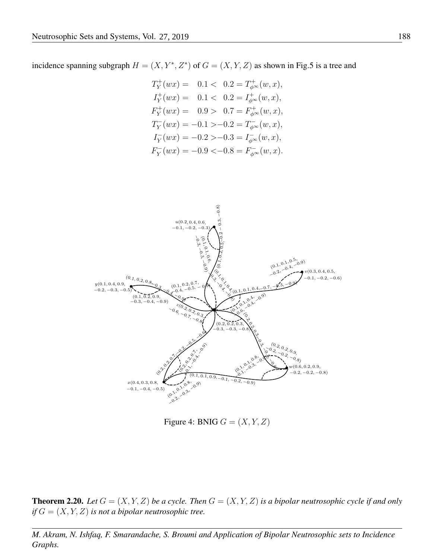incidence spanning subgraph  $H = (X, Y^*, Z^*)$  of  $G = (X, Y, Z)$  as shown in Fig.5 is a tree and

$$
T_Y^+(wx) = 0.1 < 0.2 = T_{\phi^\infty}^+(w, x),
$$
\n
$$
I_Y^+(wx) = 0.1 < 0.2 = I_{\phi^\infty}^+(w, x),
$$
\n
$$
F_Y^+(wx) = 0.9 > 0.7 = F_{\phi^\infty}^+(w, x),
$$
\n
$$
T_Y^-(wx) = -0.1 > -0.2 = T_{\phi^\infty}^-(w, x),
$$
\n
$$
I_Y^-(wx) = -0.2 > -0.3 = I_{\phi^\infty}^-(w, x),
$$
\n
$$
F_Y^-(wx) = -0.9 < -0.8 = F_{\phi^\infty}^-(w, x).
$$



Figure 4: BNIG  $G = (X, Y, Z)$ 

**Theorem 2.20.** *Let*  $G = (X, Y, Z)$  *be a cycle. Then*  $G = (X, Y, Z)$  *is a bipolar neutrosophic cycle if and only if*  $G = (X, Y, Z)$  *is not a bipolar neutrosophic tree.*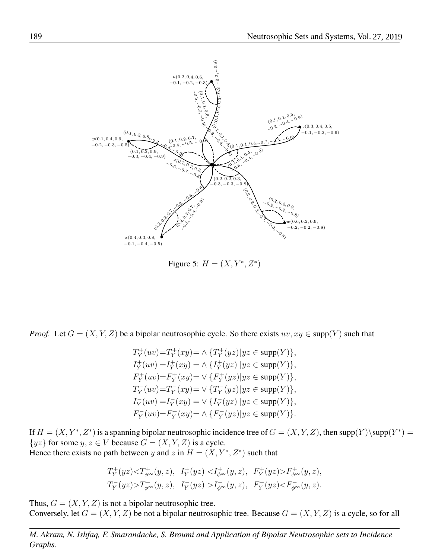

Figure 5:  $H = (X, Y^*, Z^*)$ 

*Proof.* Let  $G = (X, Y, Z)$  be a bipolar neutrosophic cycle. So there exists  $uv, xy \in \text{supp}(Y)$  such that

$$
T_Y^+(uv) = T_Y^+(xy) = \wedge \{T_Y^+(yz) | yz \in \text{supp}(Y)\},
$$
  
\n
$$
I_Y^+(uv) = I_Y^+(xy) = \wedge \{I_Y^+(yz) | yz \in \text{supp}(Y)\},
$$
  
\n
$$
F_Y^+(uv) = F_Y^+(xy) = \vee \{F_Y^+(yz) | yz \in \text{supp}(Y)\},
$$
  
\n
$$
T_Y^-(uv) = T_Y^-(xy) = \vee \{T_Y^-(yz) | yz \in \text{supp}(Y)\},
$$
  
\n
$$
I_Y^-(uv) = I_Y^-(xy) = \vee \{I_Y^-(yz) | yz \in \text{supp}(Y)\},
$$
  
\n
$$
F_Y^-(uv) = F_Y^-(xy) = \wedge \{F_Y^-(yz) | yz \in \text{supp}(Y)\}.
$$

If  $H = (X, Y^*, Z^*)$  is a spanning bipolar neutrosophic incidence tree of  $G = (X, Y, Z)$ , then supp $(Y) \$ supp $(Y^*)$  $\{yz\}$  for some  $y, z \in V$  because  $G = (X, Y, Z)$  is a cycle. Hence there exists no path between y and z in  $H = (X, Y^*, Z^*)$  such that

$$
\begin{array}{ll} T_Y^+(yz)\!\!<\!\! T_{\phi^\infty}^+(y,z), \;\; I_Y^+(yz)\!<\!\! I_{\phi^\infty}^+(y,z), \;\; F_Y^+(yz)\!\!>\!\! F_{\phi^\infty}^+(y,z), \\ T_Y^-(yz)\!\!>\!\! T_{\phi^\infty}^-(y,z), \;\; I_Y^-(yz)\!>\!\! I_{\phi^\infty}^-(y,z), \;\; F_Y^-(yz)\!\!<\!\! F_{\phi^\infty}^-(y,z). \end{array}
$$

Thus,  $G = (X, Y, Z)$  is not a bipolar neutrosophic tree. Conversely, let  $G = (X, Y, Z)$  be not a bipolar neutrosophic tree. Because  $G = (X, Y, Z)$  is a cycle, so for all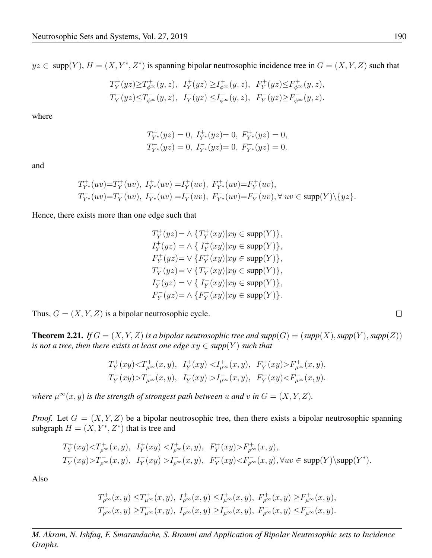$yz \in \text{supp}(Y), H = (X, Y^*, Z^*)$  is spanning bipolar neutrosophic incidence tree in  $G = (X, Y, Z)$  such that

$$
\begin{array}{ll} T_Y^+(yz){\geq}T_{\phi^\infty}^+(y,z), \;\; I_Y^+(yz)\geq \!I_{\phi^\infty}^+(y,z), \;\; F_Y^+(yz){\leq}F_{\phi^\infty}^+(y,z),\\ T_Y^-(yz){\leq}T_{\phi^\infty}^-(y,z), \;\; I_Y^-(yz)\leq \!I_{\phi^\infty}^-(y,z), \;\; F_Y^-(yz){\geq}F_{\phi^\infty}^-(y,z). \end{array}
$$

where

$$
T_{Y^*}^+(yz) = 0
$$
,  $I_{Y^*}^+(yz) = 0$ ,  $F_{Y^*}^+(yz) = 0$ ,  
\n $T_{Y^*}^-(yz) = 0$ ,  $I_{Y^*}^-(yz) = 0$ ,  $F_{Y^*}^-(yz) = 0$ .

and

$$
T_{Y^*}^+(uv) = T_Y^+(uv), \ I_{Y^*}^+(uv) = I_Y^+(uv), \ F_{Y^*}^+(uv) = F_Y^+(uv),
$$
  

$$
T_{Y^*}^-(uv) = T_Y^-(uv), \ I_{Y^*}^-(uv) = I_Y^-(uv), \ F_{Y^*}^-(uv) = F_Y^-(uv), \forall uv \in \text{supp}(Y) \setminus \{yz\}.
$$

Hence, there exists more than one edge such that

 $T_Y^+$  $Y^+(yz) = \wedge \{T^+_Y\}$  $Y^+(xy)|xy \in \text{supp}(Y)\},$  $I_Y^+$  $Y^+(yz) = \wedge \{ I_Y^+$  $Y^+(xy)|xy \in \text{supp}(Y)\},$  $F_Y^+$  $Y^+(yz) = \vee \{F^+_Y$  $Y<sup>+</sup><sub>Y</sub>(xy)|xy \in \text{supp}(Y)\},$  $T_Y^-(yz) = \vee \{T_Y^-(xy)|xy \in \text{supp}(Y)\},$  $I_Y^-(yz) = \vee \{ I_Y^-(xy) | xy \in \text{supp}(Y) \},$  $F_Y^-(yz) = \wedge \{ F_Y^-(xy) | xy \in \text{supp}(Y) \}.$ 

Thus,  $G = (X, Y, Z)$  is a bipolar neutrosophic cycle.

**Theorem 2.21.** *If*  $G = (X, Y, Z)$  *is a bipolar neutrosophic tree and supp* $(G) = (supp(X), supp(Y), supp(Z))$ *is not a tree, then there exists at least one edge*  $xy \in supp(Y)$  *such that* 

$$
\begin{array}{l} T_Y^+(xy) {<} T_{\mu^\infty}^+(x,y), \;\; I_Y^+(xy) {<} I_{\mu^\infty}^+(x,y), \;\; F_Y^+(xy) {>} F_{\mu^\infty}^+(x,y), \\ T_Y^-(xy) {>} T_{\mu^\infty}^-(x,y), \;\; I_Y^-(xy) {>} I_{\mu^\infty}^-(x,y), \;\; F_Y^-(xy) {<} F_{\mu^\infty}^-(x,y). \end{array}
$$

*where*  $\mu^{\infty}(x, y)$  *is the strength of strongest path between* u *and* v *in*  $G = (X, Y, Z)$ *.* 

*Proof.* Let  $G = (X, Y, Z)$  be a bipolar neutrosophic tree, then there exists a bipolar neutrosophic spanning subgraph  $H = (X, Y^*, Z^*)$  that is tree and

$$
\begin{array}{l} T_Y^+(xy) {<} T_{\rho^\infty}^+(x,y), \ \ I_Y^+(xy) {<} I_{\rho^\infty}^+(x,y), \ \ F_Y^+(xy) {>} F_{\rho^\infty}^+(x,y), \\ T_Y^-(xy) {>} T_{\rho^\infty}^-(x,y), \ \ I_Y^-(xy) {>} I_{\rho^\infty}^-(x,y), \ \ F_Y^-(xy) {<} F_{\rho^\infty}^-(x,y), \forall uv \in \text{supp}(Y) \backslash \text{supp}(Y^*). \end{array}
$$

Also

$$
\begin{array}{l} T^+_{\rho^\infty}(x,y)\leq\!\! T^+_{\mu^\infty}(x,y),\; I^+_{\rho^\infty}(x,y)\leq\!\! I^+_{\mu^\infty}(x,y),\; F^+_{\rho^\infty}(x,y)\geq\!\! F^+_{\mu^\infty}(x,y),\\ T^-_{\rho^\infty}(x,y)\geq\!\! T^-_{\mu^\infty}(x,y),\; I^-_{\rho^\infty}(x,y)\geq\!\! I^-_{\mu^\infty}(x,y),\; F^-_{\rho^\infty}(x,y)\leq\!\! F^-_{\mu^\infty}(x,y). \end{array}
$$

*M. Akram, N. Ishfaq, F. Smarandache, S. Broumi and Application of Bipolar Neutrosophic sets to Incidence Graphs.*

 $\Box$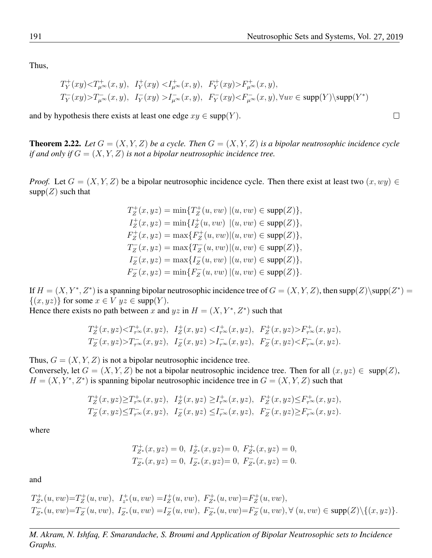$\Box$ 

Thus,

$$
T_Y^+(xy) < T_{\mu^{\infty}}^+(x, y), \quad I_Y^+(xy) < I_{\mu^{\infty}}^+(x, y), \quad F_Y^+(xy) > F_{\mu^{\infty}}^+(x, y),
$$
  

$$
T_Y^-(xy) > T_{\mu^{\infty}}^-(x, y), \quad I_Y^-(xy) > I_{\mu^{\infty}}^-(x, y), \quad F_Y^-(xy) < F_{\mu^{\infty}}^-(x, y), \forall uv \in \text{supp}(Y) \setminus \text{supp}(Y^*)
$$

and by hypothesis there exists at least one edge  $xy \in \text{supp}(Y)$ .

**Theorem 2.22.** Let  $G = (X, Y, Z)$  be a cycle. Then  $G = (X, Y, Z)$  is a bipolar neutrosophic incidence cycle *if and only if*  $G = (X, Y, Z)$  *is not a bipolar neutrosophic incidence tree.* 

*Proof.* Let  $G = (X, Y, Z)$  be a bipolar neutrosophic incidence cycle. Then there exist at least two  $(x, wy) \in$  $supp(Z)$  such that

> $T_Z^+$  $Z_Z^+(x,yz) = \min\{T_Z^+\}$  $Z_Z^+(u,vw) \mid (u,vw) \in \text{supp}(Z) \},$  $I_Z^+$  $Z^+(x,yz) = \min\{I_Z^+\}$  $Z_Z^+(u, vw) \ | (u, vw) \in \text{supp}(Z) \},$  $F_Z^+$  $Z_Z^+(x,yz) = \max\{F_Z^+\}$  $Z_Z^+(u,vw)|(u,vw) \in \text{supp}(Z)\},$  $T_Z^-(x, yz) = \max\{T_Z^-(u, vw) | (u, vw) \in \text{supp}(Z)\},$  $I_Z^-(x, yz) = \max\{I_Z^-(u, vw) | (u, vw) \in \text{supp}(Z)\},\$  $F_Z^-(x, yz) = \min\{F_Z^-(u, vw) | (u, vw) \in \text{supp}(Z)\}.$

If  $H = (X, Y^*, Z^*)$  is a spanning bipolar neutrosophic incidence tree of  $G = (X, Y, Z)$ , then supp $(Z) \setminus supp(Z^*) =$  $\{(x,yz)\}\$ for some  $x \in V$   $yz \in \text{supp}(Y)$ .

Hence there exists no path between x and  $yz$  in  $H = (X, Y^*, Z^*)$  such that

$$
T_Z^+(x,yz) < T_{\tau^{\infty}}^+(x,yz), \quad I_Z^+(x,yz) < I_{\tau^{\infty}}^+(x,yz), \quad F_Z^+(x,yz) > F_{\tau^{\infty}}^+(x,yz),
$$
\n
$$
T_Z^-(x,yz) > T_{\tau^{\infty}}^-(x,yz), \quad I_Z^-(x,yz) > I_{\tau^{\infty}}^-(x,yz), \quad F_Z^-(x,yz) < F_{\tau^{\infty}}^-(x,yz).
$$

Thus,  $G = (X, Y, Z)$  is not a bipolar neutrosophic incidence tree. Conversely, let  $G = (X, Y, Z)$  be not a bipolar neutrosophic incidence tree. Then for all  $(x, yz) \in \text{supp}(Z)$ ,  $H = (X, Y^*, Z^*)$  is spanning bipolar neutrosophic incidence tree in  $G = (X, Y, Z)$  such that

$$
T_Z^+(x,yz) \ge T_{\tau^{\infty}}^+(x,yz), \quad I_Z^+(x,yz) \ge I_{\tau^{\infty}}^+(x,yz), \quad F_Z^+(x,yz) \le F_{\tau^{\infty}}^+(x,yz),
$$
  

$$
T_Z^-(x,yz) \le T_{\tau^{\infty}}^-(x,yz), \quad I_Z^-(x,yz) \le I_{\tau^{\infty}}^-(x,yz), \quad F_Z^-(x,yz) \ge F_{\tau^{\infty}}^-(x,yz).
$$

where

$$
T_{Z^*}^+(x, yz) = 0, \ I_{Z^*}^+(x, yz) = 0, \ F_{Z^*}^+(x, yz) = 0,
$$
  

$$
T_{Z^*}^-(x, yz) = 0, \ I_{Z^*}^-(x, yz) = 0, \ F_{Z^*}^-(x, yz) = 0.
$$

and

$$
T_{Z^*}^+(u, vw) = T_Z^+(u, vw), \quad I_{z^*}^+(u, vw) = I_Z^+(u, vw), \quad F_{Z^*}^+(u, vw) = F_Z^+(u, vw),
$$
  
\n
$$
T_{Z^*}^-(u, vw) = T_Z^-(u, vw), \quad I_{Z^*}^-(u, vw) = I_Z^-(u, vw), \quad F_{Z^*}^-(u, vw) = F_Z^-(u, vw), \forall (u, vw) \in \text{supp}(Z) \setminus \{(x, yz)\}.
$$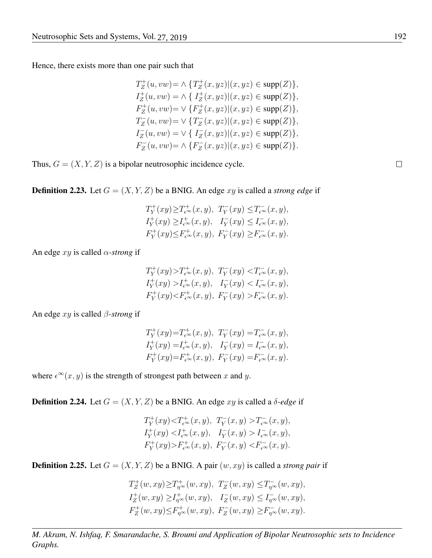Hence, there exists more than one pair such that

$$
T_Z^+(u, vw) = \wedge \{T_Z^+(x, yz) | (x, yz) \in \text{supp}(Z)\},
$$
  
\n
$$
I_Z^+(u, vw) = \wedge \{L_Z^+(x, yz) | (x, yz) \in \text{supp}(Z)\},
$$
  
\n
$$
F_Z^+(u, vw) = \vee \{F_Z^+(x, yz) | (x, yz) \in \text{supp}(Z)\},
$$
  
\n
$$
T_Z^-(u, vw) = \vee \{T_Z^-(x, yz) | (x, yz) \in \text{supp}(Z)\},
$$
  
\n
$$
I_Z^-(u, vw) = \vee \{L_Z^-(x, yz) | (x, yz) \in \text{supp}(Z)\},
$$
  
\n
$$
F_Z^-(u, vw) = \wedge \{F_Z^-(x, yz) | (x, yz) \in \text{supp}(Z)\}.
$$

Thus,  $G = (X, Y, Z)$  is a bipolar neutrosophic incidence cycle.

**Definition 2.23.** Let  $G = (X, Y, Z)$  be a BNIG. An edge xy is called a *strong edge* if

$$
T_Y^+(xy) \ge T_{\epsilon^\infty}(x, y), \ T_Y^-(xy) \le T_{\epsilon^\infty}(x, y),
$$
  
\n
$$
I_Y^+(xy) \ge I_{\epsilon^\infty}(x, y), \ I_Y^-(xy) \le I_{\epsilon^\infty}(x, y),
$$
  
\n
$$
F_Y^+(xy) \le F_{\epsilon^\infty}(x, y), \ F_Y^-(xy) \ge F_{\epsilon^\infty}(x, y).
$$

An edge xy is called α*-strong* if

$$
T_Y^+(xy) > T_{\epsilon^{\infty}}^+(x, y), \ T_Y^-(xy) < T_{\epsilon^{\infty}}^-(x, y),
$$
  
\n
$$
I_Y^+(xy) > I_{\epsilon^{\infty}}^+(x, y), \ I_Y^-(xy) < I_{\epsilon^{\infty}}^-(x, y),
$$
  
\n
$$
F_Y^+(xy) < F_{\epsilon^{\infty}}^+(x, y), \ F_Y^-(xy) > F_{\epsilon^{\infty}}^-(x, y).
$$

An edge xy is called β*-strong* if

$$
T_Y^+(xy) = T_{\epsilon^{\infty}}^+(x, y), \ T_Y^-(xy) = T_{\epsilon^{\infty}}^-(x, y), I_Y^+(xy) = I_{\epsilon^{\infty}}^+(x, y), \ I_Y^-(xy) = I_{\epsilon^{\infty}}^-(x, y), F_Y^+(xy) = F_{\epsilon^{\infty}}^+(x, y), \ F_Y^-(xy) = F_{\epsilon^{\infty}}^-(x, y).
$$

where  $\epsilon^{\infty}(x, y)$  is the strength of strongest path between x and y.

**Definition 2.24.** Let  $G = (X, Y, Z)$  be a BNIG. An edge xy is called a  $\delta$ -edge if

$$
\begin{array}{l} T_Y^+(xy)\!<\!\! T_{\epsilon^\infty}^+(x,y),\ T_Y^-(x,y)\!>\! T_{\epsilon^\infty}^-(x,y),\\ I_Y^+(xy)\!<\!\! I_{\epsilon^\infty}^+(x,y),\ \ I_Y^-(x,y)\!>\! I_{\epsilon^\infty}^-(x,y),\\ F_Y^+(xy)\!>\! F_{\epsilon^\infty}^+(x,y),\ F_Y^-(x,y)\!<\! F_{\epsilon^\infty}^-(x,y).\end{array}
$$

**Definition 2.25.** Let  $G = (X, Y, Z)$  be a BNIG. A pair  $(w, xy)$  is called a *strong pair* if

$$
T_Z^+(w, xy) \ge T_{\eta^{\infty}}^+(w, xy), T_Z^-(w, xy) \le T_{\eta^{\infty}}^-(w, xy),
$$
  
\n
$$
I_Z^+(w, xy) \ge I_{\eta^{\infty}}^+(w, xy), I_Z^-(w, xy) \le I_{\eta^{\infty}}^-(w, xy),
$$
  
\n
$$
F_Z^+(w, xy) \le F_{\eta^{\infty}}^+(w, xy), F_Z^-(w, xy) \ge F_{\eta^{\infty}}^-(w, xy).
$$

*M. Akram, N. Ishfaq, F. Smarandache, S. Broumi and Application of Bipolar Neutrosophic sets to Incidence Graphs.*

 $\Box$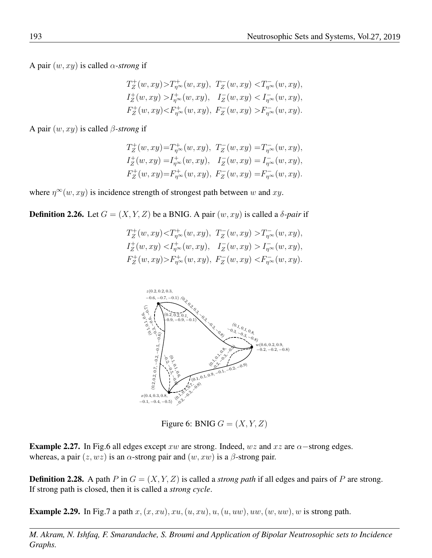A pair  $(w, xy)$  is called  $\alpha$ -strong if

$$
T_Z^+(w, xy) > T_{\eta^{\infty}}^+(w, xy), \ T_Z^-(w, xy) < T_{\eta^{\infty}}^-(w, xy),
$$
  
\n
$$
I_Z^+(w, xy) > I_{\eta^{\infty}}^+(w, xy), \ I_Z^-(w, xy) < I_{\eta^{\infty}}^-(w, xy),
$$
  
\n
$$
F_Z^+(w, xy) < F_{\eta^{\infty}}^+(w, xy), \ F_Z^-(w, xy) > F_{\eta^{\infty}}^-(w, xy).
$$

A pair (w, xy) is called β*-strong* if

$$
T_Z^+(w, xy) = T_{\eta^\infty}^+(w, xy), \ T_Z^-(w, xy) = T_{\eta^\infty}^-(w, xy),
$$
  
\n
$$
I_Z^+(w, xy) = I_{\eta^\infty}^+(w, xy), \ I_Z^-(w, xy) = I_{\eta^\infty}^-(w, xy),
$$
  
\n
$$
F_Z^+(w, xy) = F_{\eta^\infty}^+(w, xy), \ F_Z^-(w, xy) = F_{\eta^\infty}^-(w, xy).
$$

where  $\eta^{\infty}(w, xy)$  is incidence strength of strongest path between w and xy.

**Definition 2.26.** Let  $G = (X, Y, Z)$  be a BNIG. A pair  $(w, xy)$  is called a  $\delta$ -pair if

$$
T_Z^+(w, xy) < T_{\eta^{\infty}}^+(w, xy), \ T_Z^-(w, xy) > T_{\eta^{\infty}}^-(w, xy),
$$
  
\n
$$
I_Z^+(w, xy) < I_{\eta^{\infty}}^+(w, xy), \ I_Z^-(w, xy) > I_{\eta^{\infty}}^-(w, xy),
$$
  
\n
$$
F_Z^+(w, xy) > F_{\eta^{\infty}}^+(w, xy), \ F_Z^-(w, xy) < F_{\eta^{\infty}}^-(w, xy).
$$



Figure 6: BNIG  $G = (X, Y, Z)$ 

Example 2.27. In Fig.6 all edges except xw are strong. Indeed, wz and xz are  $\alpha$ -strong edges. whereas, a pair  $(z, wz)$  is an  $\alpha$ -strong pair and  $(w, xw)$  is a  $\beta$ -strong pair.

**Definition 2.28.** A path P in  $G = (X, Y, Z)$  is called a *strong path* if all edges and pairs of P are strong. If strong path is closed, then it is called a *strong cycle*.

**Example 2.29.** In Fig.7 a path  $x, (x, xu), xu, (u, xu), u, (u, uw), uw, (w, uw), w$  is strong path.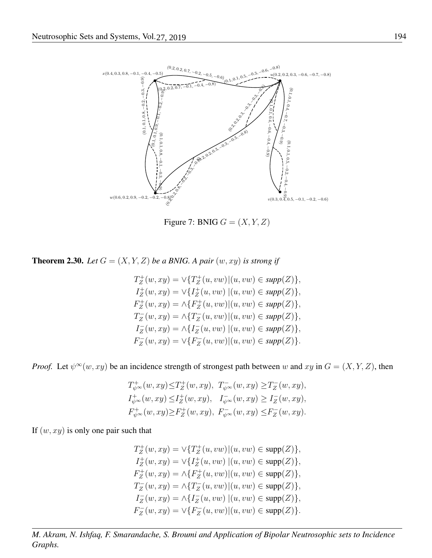

Figure 7: BNIG  $G = (X, Y, Z)$ 

**Theorem 2.30.** *Let*  $G = (X, Y, Z)$  *be a BNIG. A pair*  $(w, xy)$  *is strong if* 

$$
T_Z^+(w, xy) = \vee \{ T_Z^+(u, vw) | (u, vw) \in supp(Z) \},
$$
  
\n
$$
I_Z^+(w, xy) = \vee \{ I_Z^+(u, vw) | (u, vw) \in supp(Z) \},
$$
  
\n
$$
F_Z^+(w, xy) = \wedge \{ F_Z^+(u, vw) | (u, vw) \in supp(Z) \},
$$
  
\n
$$
T_Z^-(w, xy) = \wedge \{ T_Z^-(u, vw) | (u, vw) \in supp(Z) \},
$$
  
\n
$$
I_Z^-(w, xy) = \wedge \{ I_Z^-(u, vw) | (u, vw) \in supp(Z) \},
$$
  
\n
$$
F_Z^-(w, xy) = \vee \{ F_Z^-(u, vw) | (u, vw) \in supp(Z) \}.
$$

*Proof.* Let  $\psi^{\infty}(w, xy)$  be an incidence strength of strongest path between w and xy in  $G = (X, Y, Z)$ , then

$$
T_{\psi^{\infty}}^{+}(w, xy) \leq T_{Z}^{+}(w, xy), T_{\psi^{\infty}}^{-}(w, xy) \geq T_{Z}^{-}(w, xy),
$$
  
\n
$$
I_{\psi^{\infty}}^{+}(w, xy) \leq I_{Z}^{+}(w, xy), I_{\psi^{\infty}}^{-}(w, xy) \geq I_{Z}^{-}(w, xy),
$$
  
\n
$$
F_{\psi^{\infty}}^{+}(w, xy) \geq F_{Z}^{+}(w, xy), F_{\psi^{\infty}}^{-}(w, xy) \leq F_{Z}^{-}(w, xy).
$$

If  $(w, xy)$  is only one pair such that

$$
T_Z^+(w, xy) = \vee \{ T_Z^+(u, vw) | (u, vw) \in \text{supp}(Z) \},
$$
  
\n
$$
I_Z^+(w, xy) = \vee \{ I_Z^+(u, vw) | (u, vw) \in \text{supp}(Z) \},
$$
  
\n
$$
F_Z^+(w, xy) = \wedge \{ F_Z^+(u, vw) | (u, vw) \in \text{supp}(Z) \},
$$
  
\n
$$
T_Z^-(w, xy) = \wedge \{ T_Z^-(u, vw) | (u, vw) \in \text{supp}(Z) \},
$$
  
\n
$$
I_Z^-(w, xy) = \wedge \{ I_Z^-(u, vw) | (u, vw) \in \text{supp}(Z) \},
$$
  
\n
$$
F_Z^-(w, xy) = \vee \{ F_Z^-(u, vw) | (u, vw) \in \text{supp}(Z) \}.
$$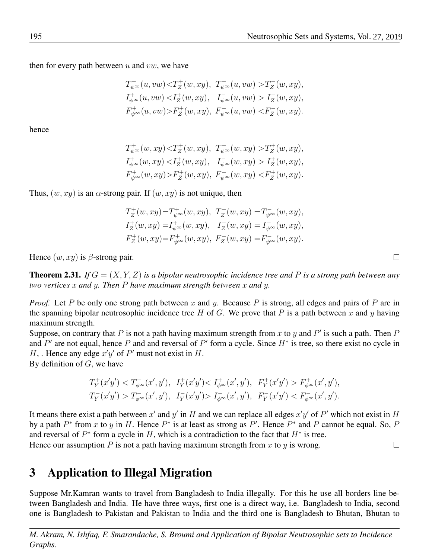then for every path between  $u$  and  $vw$ , we have

$$
T_{\psi^{\infty}}^{+}(u,vw)T_{Z}^{-}(w,xy),
$$
  
\n
$$
I_{\psi^{\infty}}^{+}(u,vw)I_{Z}^{-}(w,xy),
$$
  
\n
$$
F_{\psi^{\infty}}^{+}(u,vw)>F_{Z}^{+}(w,xy), F_{\psi^{\infty}}^{-}(u,vw)
$$

hence

$$
T_{\psi^{\infty}}^{+}(w, xy) < T_{Z}^{+}(w, xy), T_{\psi^{\infty}}^{-}(w, xy) > T_{Z}^{+}(w, xy),
$$
  
\n
$$
I_{\psi^{\infty}}^{+}(w, xy) < I_{Z}^{+}(w, xy), I_{\psi^{\infty}}^{-}(w, xy) > I_{Z}^{+}(w, xy),
$$
  
\n
$$
F_{\psi^{\infty}}^{+}(w, xy) > F_{Z}^{+}(w, xy), F_{\psi^{\infty}}^{-}(w, xy) < F_{Z}^{+}(w, xy).
$$

Thus,  $(w, xy)$  is an  $\alpha$ -strong pair. If  $(w, xy)$  is not unique, then

$$
T_Z^+(w, xy) = T_{\psi^\infty}^+(w, xy), \ T_Z^-(w, xy) = T_{\psi^\infty}^-(w, xy),
$$
  
\n
$$
I_Z^+(w, xy) = I_{\psi^\infty}^+(w, xy), \ I_Z^-(w, xy) = I_{\psi^\infty}^-(w, xy),
$$
  
\n
$$
F_Z^+(w, xy) = F_{\psi^\infty}^+(w, xy), \ F_Z^-(w, xy) = F_{\psi^\infty}^-(w, xy).
$$

Hence  $(w, xy)$  is  $\beta$ -strong pair.

**Theorem 2.31.** *If*  $G = (X, Y, Z)$  *is a bipolar neutrosophic incidence tree and* P *is a strong path between any two vertices* x *and* y*. Then* P *have maximum strength between* x *and* y*.*

*Proof.* Let P be only one strong path between x and y. Because P is strong, all edges and pairs of P are in the spanning bipolar neutrosophic incidence tree H of G. We prove that P is a path between x and y having maximum strength.

Suppose, on contrary that P is not a path having maximum strength from x to y and P' is such a path. Then P and  $P'$  are not equal, hence P and and reversal of  $P'$  form a cycle. Since  $H^*$  is tree, so there exist no cycle in H, Hence any edge  $x'y'$  of P' must not exist in H.

By definition of  $G$ , we have

$$
T_Y^+(x'y') < T_{\phi^{\infty}}^+(x',y'), \quad I_Y^+(x'y') < I_{\phi^{\infty}}^+(x',y'), \quad F_Y^+(x'y') > F_{\phi^{\infty}}^+(x',y'),
$$
  

$$
T_Y^-(x'y') > T_{\phi^{\infty}}^-(x',y'), \quad I_Y^-(x'y') > I_{\phi^{\infty}}^-(x',y'), \quad F_Y^-(x'y') < F_{\phi^{\infty}}^-(x',y').
$$

It means there exist a path between  $x'$  and  $y'$  in H and we can replace all edges  $x'y'$  of  $P'$  which not exist in H by a path  $P^*$  from x to y in H. Hence  $P^*$  is at least as strong as  $P'$ . Hence  $P^*$  and P cannot be equal. So, F and reversal of  $P^*$  form a cycle in H, which is a contradiction to the fact that  $H^*$  is tree.  $\Box$ 

Hence our assumption P is not a path having maximum strength from x to y is wrong.

# 3 Application to Illegal Migration

Suppose Mr.Kamran wants to travel from Bangladesh to India illegally. For this he use all borders line between Bangladesh and India. He have three ways, first one is a direct way, i.e. Bangladesh to India, second one is Bangladesh to Pakistan and Pakistan to India and the third one is Bangladesh to Bhutan, Bhutan to

*M. Akram, N. Ishfaq, F. Smarandache, S. Broumi and Application of Bipolar Neutrosophic sets to Incidence Graphs.*

 $\Box$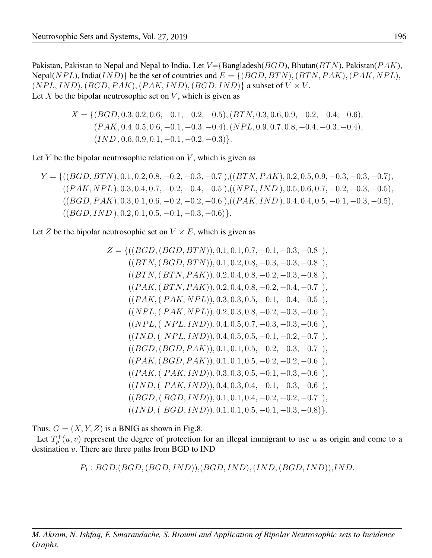Pakistan, Pakistan to Nepal and Nepal to India. Let  $V = \{Bangladesh(BGD), Bhutan(BTN), Pakistan(PAK),\}$ Nepal(NPL), India(IND)} be the set of countries and  $E = \{(BGD, BTN), (BTN, PAK), (PAK, NPL),$  $(NPL, IND), (BGD, PAK), (PAK, IND), (BGD, IND)$  a subset of  $V \times V$ . Let  $X$  be the bipolar neutrosophic set on  $V$ , which is given as

$$
X = \{ (BGD, 0.3, 0.2, 0.6, -0.1, -0.2, -0.5), (BTN, 0.3, 0.6, 0.9, -0.2, -0.4, -0.6),
$$
  

$$
(PAK, 0.4, 0.5, 0.6, -0.1, -0.3, -0.4), (NPL, 0.9, 0.7, 0.8, -0.4, -0.3, -0.4),
$$
  

$$
(IND, 0.6, 0.9, 0.1, -0.1, -0.2, -0.3) \}.
$$

Let  $Y$  be the bipolar neutrosophic relation on  $V$ , which is given as

$$
Y = \{ ((BGD, BTN), 0.1, 0.2, 0.8, -0.2, -0.3, -0.7), ((BTN, PAK), 0.2, 0.5, 0.9, -0.3, -0.3, -0.7), ((PAK, NPL), 0.3, 0.4, 0.7, -0.2, -0.4, -0.5), ((NPL, IND), 0.5, 0.6, 0.7, -0.2, -0.3, -0.5), ((BGD, PAK), 0.3, 0.1, 0.6, -0.2, -0.2, -0.6), ((PAK, IND), 0.4, 0.4, 0.5, -0.1, -0.3, -0.5), ((BGD, IND), 0.2, 0.1, 0.5, -0.1, -0.3, -0.6) \}.
$$

Let Z be the bipolar neutrosophic set on  $V \times E$ , which is given as

$$
Z = \{((BGD, (BGD, BTN)), 0.1, 0.1, 0.7, -0.1, -0.3, -0.8), ((BTN, (BGD, BTN)), 0.1, 0.2, 0.8, -0.3, -0.3, -0.8), ((BTN, (BTN, PAK)), 0.2, 0.4, 0.8, -0.2, -0.3, -0.8), ((PAK, (BTN, PAK)), 0.2, 0.4, 0.8, -0.2, -0.4, -0.7), ((PAK, (PAK, NPL)), 0.3, 0.3, 0.5, -0.1, -0.4, -0.5), ((NPL, (PAK, NPL)), 0.2, 0.3, 0.8, -0.2, -0.3, -0.6), ((NPL, (NPL, IND)), 0.4, 0.5, 0.7, -0.3, -0.3, -0.6), ((IND, (NPL, IND)), 0.4, 0.5, 0.5, -0.1, -0.2, -0.7), ((BGD, (BGD, PAK)), 0.1, 0.1, 0.5, -0.2, -0.3, -0.7), ((PAK, (BGD, PAK)), 0.1, 0.1, 0.5, -0.2, -0.2, -0.6), ((PAK, (PAK, IND)), 0.3, 0.3, 0.5, -0.1, -0.3, -0.6), ((NPL, (PAK, IND)), 0.3, 0.3, 0.4, -0.1, -0.3, -0.6), ((BGD, (BGD, IND)), 0.1, 0.1, 0.4, -0.2, -0.2, -0.7), ((IND, (BGD, IND)), 0.1, 0.1, 0.5, -0.1, -0.3, -0.8)\}.
$$

Thus,  $G = (X, Y, Z)$  is a BNIG as shown in Fig.8.

Let  $T_{\rho}^+(u, v)$  represent the degree of protection for an illegal immigrant to use u as origin and come to a destination  $v$ . There are three paths from BGD to IND

 $P_1 : BGD, (BGD, (BGD, IND)), (BGD, IND), (IND, (BGD, IND)), IND$ .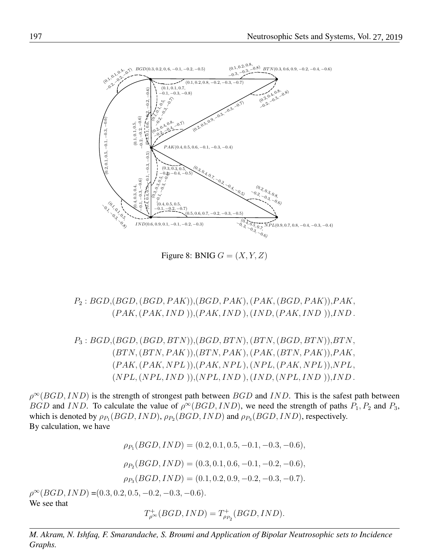

Figure 8: BNIG  $G = (X, Y, Z)$ 

 $P_2 : BGD, (BGD, (BGD, PAK)), (BGD, PAK), (PAK, (BGD, PAK)), PAK,$  $(PAK,(PAK,IND)),(PAK,IND),(IND,(PAK,IND)),IND$ .

 $P_3: BGD, (BGD, (BGD, BTN)), (BGD, BTN), (BTN, (BGD, BTN)), BTN,$  $(BTN,(BTN, PAK)), (BTN, PAK), (PAK, (BTN, PAK)), PAK,$  $(PAK,(PAK,NPL)),(PAK,NPL),(NPL,(PAK,NPL)),NPL,$  $(NPL,(NPL,IND)),(NPL,IND),(IND,(NPL,IND)),IND$ .

 $\rho^{\infty}(BGD, IND)$  is the strength of strongest path between  $BGD$  and  $IND$ . This is the safest path between BGD and IND. To calculate the value of  $\rho^{\infty}(BGD, IND)$ , we need the strength of paths  $P_1, P_2$  and  $P_3$ , which is denoted by  $\rho_{P_1}(BGD, IND)$ ,  $\rho_{P_2}(BGD, IND)$  and  $\rho_{P_3}(BGD, IND)$ , respectively. By calculation, we have

> $\rho_{P_1}(BGD, IND) = (0.2, 0.1, 0.5, -0.1, -0.3, -0.6),$  $\rho_{P_2}(BGD, IND) = (0.3, 0.1, 0.6, -0.1, -0.2, -0.6),$  $\rho_{P_3}(BGD, IND) = (0.1, 0.2, 0.9, -0.2, -0.3, -0.7).$

 $\rho^{\infty}(BGD, IND) = (0.3, 0.2, 0.5, -0.2, -0.3, -0.6).$ We see that

$$
T_{\rho^\infty}^+(BGD,IND)=T_{\rho_{P_2}}^+(BGD,IND).
$$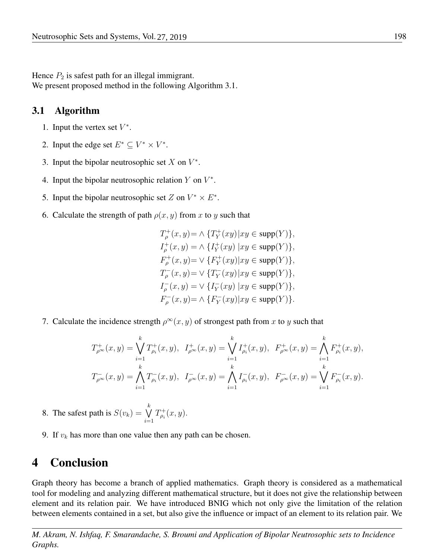Hence  $P_2$  is safest path for an illegal immigrant. We present proposed method in the following Algorithm 3.1.

#### 3.1 Algorithm

- 1. Input the vertex set  $V^*$ .
- 2. Input the edge set  $E^* \subseteq V^* \times V^*$ .
- 3. Input the bipolar neutrosophic set  $X$  on  $V^*$ .
- 4. Input the bipolar neutrosophic relation  $Y$  on  $V^*$ .
- 5. Input the bipolar neutrosophic set Z on  $V^* \times E^*$ .
- 6. Calculate the strength of path  $\rho(x, y)$  from x to y such that

$$
T_{\rho}^+(x, y) = \wedge \{T_Y^+(xy) \mid xy \in \text{supp}(Y)\},
$$
  
\n
$$
I_{\rho}^+(x, y) = \wedge \{I_Y^+(xy) \mid xy \in \text{supp}(Y)\},
$$
  
\n
$$
F_{\rho}^+(x, y) = \vee \{F_Y^+(xy) \mid xy \in \text{supp}(Y)\},
$$
  
\n
$$
T_{\rho}^-(x, y) = \vee \{T_Y^-(xy) \mid xy \in \text{supp}(Y)\},
$$
  
\n
$$
I_{\rho}^-(x, y) = \vee \{I_Y^-(xy) \mid xy \in \text{supp}(Y)\},
$$
  
\n
$$
F_{\rho}^-(x, y) = \wedge \{F_Y^-(xy) \mid xy \in \text{supp}(Y)\}.
$$

7. Calculate the incidence strength  $\rho^{\infty}(x, y)$  of strongest path from x to y such that

$$
T_{\rho^{\infty}}^{+}(x,y) = \bigvee_{i=1}^{k} T_{\rho_{i}}^{+}(x,y), \quad I_{\rho^{\infty}}^{+}(x,y) = \bigvee_{i=1}^{k} I_{\rho_{i}}^{+}(x,y), \quad F_{\rho^{\infty}}^{+}(x,y) = \bigwedge_{i=1}^{k} F_{\rho_{i}}^{+}(x,y),
$$

$$
T_{\rho^{\infty}}^{-}(x,y) = \bigwedge_{i=1}^{k} T_{\rho_{i}}^{-}(x,y), \quad I_{\rho^{\infty}}^{-}(x,y) = \bigwedge_{i=1}^{k} I_{\rho_{i}}^{-}(x,y), \quad F_{\rho^{\infty}}^{-}(x,y) = \bigvee_{i=1}^{k} F_{\rho_{i}}^{-}(x,y).
$$

- 8. The safest path is  $S(v_k) = \bigvee^k$  $\frac{i=1}{i}$  $T_{\rho_i}^+(x,y).$
- 9. If  $v_k$  has more than one value then any path can be chosen.

## 4 Conclusion

Graph theory has become a branch of applied mathematics. Graph theory is considered as a mathematical tool for modeling and analyzing different mathematical structure, but it does not give the relationship between element and its relation pair. We have introduced BNIG which not only give the limitation of the relation between elements contained in a set, but also give the influence or impact of an element to its relation pair. We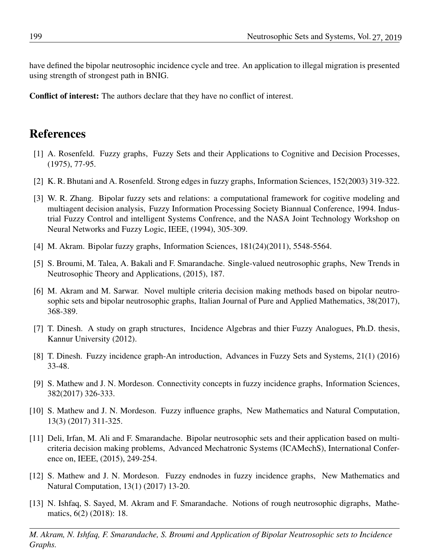have defined the bipolar neutrosophic incidence cycle and tree. An application to illegal migration is presented using strength of strongest path in BNIG.

Conflict of interest: The authors declare that they have no conflict of interest.

### References

- [1] A. Rosenfeld. Fuzzy graphs, Fuzzy Sets and their Applications to Cognitive and Decision Processes, (1975), 77-95.
- [2] K. R. Bhutani and A. Rosenfeld. Strong edges in fuzzy graphs, Information Sciences, 152(2003) 319-322.
- [3] W. R. Zhang. Bipolar fuzzy sets and relations: a computational framework for cogitive modeling and multiagent decision analysis, Fuzzy Information Processing Society Biannual Conference, 1994. Industrial Fuzzy Control and intelligent Systems Confrence, and the NASA Joint Technology Workshop on Neural Networks and Fuzzy Logic, IEEE, (1994), 305-309.
- [4] M. Akram. Bipolar fuzzy graphs, Information Sciences, 181(24)(2011), 5548-5564.
- [5] S. Broumi, M. Talea, A. Bakali and F. Smarandache. Single-valued neutrosophic graphs, New Trends in Neutrosophic Theory and Applications, (2015), 187.
- [6] M. Akram and M. Sarwar. Novel multiple criteria decision making methods based on bipolar neutrosophic sets and bipolar neutrosophic graphs, Italian Journal of Pure and Applied Mathematics, 38(2017), 368-389.
- [7] T. Dinesh. A study on graph structures, Incidence Algebras and thier Fuzzy Analogues, Ph.D. thesis, Kannur University (2012).
- [8] T. Dinesh. Fuzzy incidence graph-An introduction, Advances in Fuzzy Sets and Systems, 21(1) (2016) 33-48.
- [9] S. Mathew and J. N. Mordeson. Connectivity concepts in fuzzy incidence graphs, Information Sciences, 382(2017) 326-333.
- [10] S. Mathew and J. N. Mordeson. Fuzzy influence graphs, New Mathematics and Natural Computation, 13(3) (2017) 311-325.
- [11] Deli, Irfan, M. Ali and F. Smarandache. Bipolar neutrosophic sets and their application based on multicriteria decision making problems, Advanced Mechatronic Systems (ICAMechS), International Conference on, IEEE, (2015), 249-254.
- [12] S. Mathew and J. N. Mordeson. Fuzzy endnodes in fuzzy incidence graphs, New Mathematics and Natural Computation, 13(1) (2017) 13-20.
- [13] N. Ishfaq, S. Sayed, M. Akram and F. Smarandache. Notions of rough neutrosophic digraphs, Mathematics, 6(2) (2018): 18.